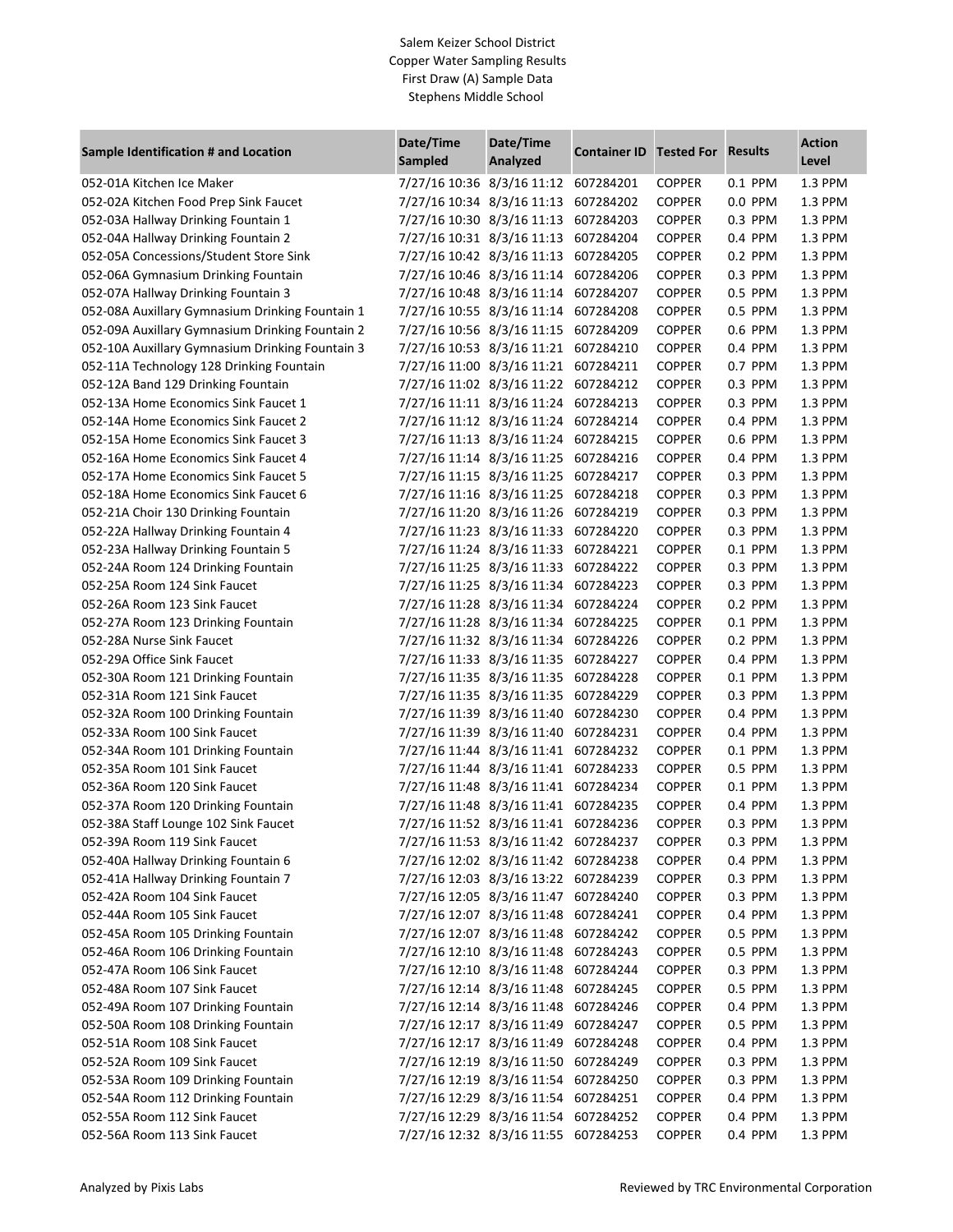## Salem Keizer School District Copper Water Sampling Results First Draw (A) Sample Data Stephens Middle School

| Sample Identification # and Location            | Date/Time<br>Sampled                 | Date/Time<br>Analyzed | <b>Container ID</b> | <b>Tested For Results</b> |           | <b>Action</b><br>Level |
|-------------------------------------------------|--------------------------------------|-----------------------|---------------------|---------------------------|-----------|------------------------|
| 052-01A Kitchen Ice Maker                       | 7/27/16 10:36 8/3/16 11:12 607284201 |                       |                     | <b>COPPER</b>             | 0.1 PPM   | 1.3 PPM                |
| 052-02A Kitchen Food Prep Sink Faucet           | 7/27/16 10:34 8/3/16 11:13           |                       | 607284202           | <b>COPPER</b>             | 0.0 PPM   | 1.3 PPM                |
| 052-03A Hallway Drinking Fountain 1             | 7/27/16 10:30 8/3/16 11:13           |                       | 607284203           | <b>COPPER</b>             | 0.3 PPM   | 1.3 PPM                |
| 052-04A Hallway Drinking Fountain 2             | 7/27/16 10:31 8/3/16 11:13           |                       | 607284204           | <b>COPPER</b>             | 0.4 PPM   | 1.3 PPM                |
| 052-05A Concessions/Student Store Sink          | 7/27/16 10:42 8/3/16 11:13           |                       | 607284205           | <b>COPPER</b>             | 0.2 PPM   | 1.3 PPM                |
| 052-06A Gymnasium Drinking Fountain             | 7/27/16 10:46 8/3/16 11:14           |                       | 607284206           | <b>COPPER</b>             | 0.3 PPM   | 1.3 PPM                |
| 052-07A Hallway Drinking Fountain 3             | 7/27/16 10:48 8/3/16 11:14           |                       | 607284207           | <b>COPPER</b>             | 0.5 PPM   | 1.3 PPM                |
| 052-08A Auxillary Gymnasium Drinking Fountain 1 | 7/27/16 10:55 8/3/16 11:14           |                       | 607284208           | <b>COPPER</b>             | 0.5 PPM   | 1.3 PPM                |
| 052-09A Auxillary Gymnasium Drinking Fountain 2 | 7/27/16 10:56 8/3/16 11:15           |                       | 607284209           | <b>COPPER</b>             | 0.6 PPM   | 1.3 PPM                |
| 052-10A Auxillary Gymnasium Drinking Fountain 3 | 7/27/16 10:53 8/3/16 11:21           |                       | 607284210           | <b>COPPER</b>             | 0.4 PPM   | 1.3 PPM                |
| 052-11A Technology 128 Drinking Fountain        | 7/27/16 11:00 8/3/16 11:21           |                       | 607284211           | <b>COPPER</b>             | 0.7 PPM   | 1.3 PPM                |
| 052-12A Band 129 Drinking Fountain              | 7/27/16 11:02 8/3/16 11:22           |                       | 607284212           | <b>COPPER</b>             | 0.3 PPM   | 1.3 PPM                |
| 052-13A Home Economics Sink Faucet 1            | 7/27/16 11:11 8/3/16 11:24           |                       | 607284213           | <b>COPPER</b>             | 0.3 PPM   | 1.3 PPM                |
| 052-14A Home Economics Sink Faucet 2            | 7/27/16 11:12 8/3/16 11:24           |                       | 607284214           | <b>COPPER</b>             | 0.4 PPM   | 1.3 PPM                |
| 052-15A Home Economics Sink Faucet 3            | 7/27/16 11:13 8/3/16 11:24           |                       | 607284215           | <b>COPPER</b>             | 0.6 PPM   | 1.3 PPM                |
| 052-16A Home Economics Sink Faucet 4            | 7/27/16 11:14 8/3/16 11:25           |                       | 607284216           | <b>COPPER</b>             | 0.4 PPM   | 1.3 PPM                |
| 052-17A Home Economics Sink Faucet 5            | 7/27/16 11:15 8/3/16 11:25           |                       | 607284217           | <b>COPPER</b>             | 0.3 PPM   | 1.3 PPM                |
| 052-18A Home Economics Sink Faucet 6            | 7/27/16 11:16 8/3/16 11:25           |                       | 607284218           | <b>COPPER</b>             | 0.3 PPM   | 1.3 PPM                |
| 052-21A Choir 130 Drinking Fountain             | 7/27/16 11:20 8/3/16 11:26           |                       | 607284219           | <b>COPPER</b>             | 0.3 PPM   | 1.3 PPM                |
| 052-22A Hallway Drinking Fountain 4             | 7/27/16 11:23 8/3/16 11:33           |                       | 607284220           | <b>COPPER</b>             | 0.3 PPM   | 1.3 PPM                |
| 052-23A Hallway Drinking Fountain 5             | 7/27/16 11:24 8/3/16 11:33           |                       | 607284221           | <b>COPPER</b>             | 0.1 PPM   | 1.3 PPM                |
| 052-24A Room 124 Drinking Fountain              | 7/27/16 11:25 8/3/16 11:33           |                       | 607284222           | <b>COPPER</b>             | 0.3 PPM   | 1.3 PPM                |
| 052-25A Room 124 Sink Faucet                    | 7/27/16 11:25 8/3/16 11:34           |                       | 607284223           | <b>COPPER</b>             | 0.3 PPM   | 1.3 PPM                |
| 052-26A Room 123 Sink Faucet                    | 7/27/16 11:28 8/3/16 11:34           |                       | 607284224           | <b>COPPER</b>             | 0.2 PPM   | 1.3 PPM                |
| 052-27A Room 123 Drinking Fountain              | 7/27/16 11:28 8/3/16 11:34           |                       | 607284225           | <b>COPPER</b>             | 0.1 PPM   | 1.3 PPM                |
| 052-28A Nurse Sink Faucet                       | 7/27/16 11:32 8/3/16 11:34           |                       | 607284226           | <b>COPPER</b>             | 0.2 PPM   | 1.3 PPM                |
| 052-29A Office Sink Faucet                      | 7/27/16 11:33 8/3/16 11:35           |                       | 607284227           | <b>COPPER</b>             | 0.4 PPM   | 1.3 PPM                |
| 052-30A Room 121 Drinking Fountain              | 7/27/16 11:35 8/3/16 11:35           |                       | 607284228           | <b>COPPER</b>             | 0.1 PPM   | 1.3 PPM                |
| 052-31A Room 121 Sink Faucet                    | 7/27/16 11:35 8/3/16 11:35           |                       | 607284229           | <b>COPPER</b>             | 0.3 PPM   | 1.3 PPM                |
| 052-32A Room 100 Drinking Fountain              | 7/27/16 11:39 8/3/16 11:40           |                       | 607284230           | <b>COPPER</b>             | 0.4 PPM   | 1.3 PPM                |
| 052-33A Room 100 Sink Faucet                    | 7/27/16 11:39 8/3/16 11:40           |                       | 607284231           | <b>COPPER</b>             | 0.4 PPM   | 1.3 PPM                |
| 052-34A Room 101 Drinking Fountain              | 7/27/16 11:44 8/3/16 11:41           |                       | 607284232           | <b>COPPER</b>             | 0.1 PPM   | 1.3 PPM                |
| 052-35A Room 101 Sink Faucet                    | 7/27/16 11:44 8/3/16 11:41           |                       | 607284233           | <b>COPPER</b>             | 0.5 PPM   | 1.3 PPM                |
| 052-36A Room 120 Sink Faucet                    | 7/27/16 11:48 8/3/16 11:41           |                       | 607284234           | <b>COPPER</b>             | 0.1 PPM   | 1.3 PPM                |
| 052-37A Room 120 Drinking Fountain              | 7/27/16 11:48 8/3/16 11:41           |                       | 607284235           | <b>COPPER</b>             | 0.4 PPM   | 1.3 PPM                |
| 052-38A Staff Lounge 102 Sink Faucet            | 7/27/16 11:52 8/3/16 11:41           |                       | 607284236           | <b>COPPER</b>             | 0.3 PPM   | 1.3 PPM                |
| 052-39A Room 119 Sink Faucet                    | 7/27/16 11:53 8/3/16 11:42 607284237 |                       |                     | <b>COPPER</b>             | 0.3 PPM   | 1.3 PPM                |
| 052-40A Hallway Drinking Fountain 6             | 7/27/16 12:02 8/3/16 11:42 607284238 |                       |                     | <b>COPPER</b>             | 0.4 PPM   | 1.3 PPM                |
| 052-41A Hallway Drinking Fountain 7             | 7/27/16 12:03 8/3/16 13:22 607284239 |                       |                     | <b>COPPER</b>             | $0.3$ PPM | 1.3 PPM                |
| 052-42A Room 104 Sink Faucet                    | 7/27/16 12:05 8/3/16 11:47 607284240 |                       |                     | <b>COPPER</b>             | 0.3 PPM   | 1.3 PPM                |
| 052-44A Room 105 Sink Faucet                    | 7/27/16 12:07 8/3/16 11:48 607284241 |                       |                     | <b>COPPER</b>             | 0.4 PPM   | 1.3 PPM                |
| 052-45A Room 105 Drinking Fountain              | 7/27/16 12:07 8/3/16 11:48 607284242 |                       |                     | <b>COPPER</b>             | 0.5 PPM   | 1.3 PPM                |
| 052-46A Room 106 Drinking Fountain              | 7/27/16 12:10 8/3/16 11:48 607284243 |                       |                     | <b>COPPER</b>             | 0.5 PPM   | 1.3 PPM                |
| 052-47A Room 106 Sink Faucet                    | 7/27/16 12:10 8/3/16 11:48 607284244 |                       |                     | <b>COPPER</b>             | 0.3 PPM   | 1.3 PPM                |
| 052-48A Room 107 Sink Faucet                    | 7/27/16 12:14 8/3/16 11:48           |                       | 607284245           | <b>COPPER</b>             | 0.5 PPM   | 1.3 PPM                |
| 052-49A Room 107 Drinking Fountain              | 7/27/16 12:14 8/3/16 11:48           |                       | 607284246           | <b>COPPER</b>             | 0.4 PPM   | 1.3 PPM                |
| 052-50A Room 108 Drinking Fountain              | 7/27/16 12:17 8/3/16 11:49           |                       | 607284247           | <b>COPPER</b>             | 0.5 PPM   | 1.3 PPM                |
| 052-51A Room 108 Sink Faucet                    | 7/27/16 12:17 8/3/16 11:49           |                       | 607284248           | <b>COPPER</b>             | 0.4 PPM   | 1.3 PPM                |
| 052-52A Room 109 Sink Faucet                    | 7/27/16 12:19 8/3/16 11:50           |                       | 607284249           | <b>COPPER</b>             | 0.3 PPM   | 1.3 PPM                |
| 052-53A Room 109 Drinking Fountain              | 7/27/16 12:19 8/3/16 11:54           |                       | 607284250           | <b>COPPER</b>             | 0.3 PPM   | 1.3 PPM                |
| 052-54A Room 112 Drinking Fountain              | 7/27/16 12:29 8/3/16 11:54           |                       | 607284251           | <b>COPPER</b>             | 0.4 PPM   | 1.3 PPM                |
| 052-55A Room 112 Sink Faucet                    | 7/27/16 12:29 8/3/16 11:54 607284252 |                       |                     | <b>COPPER</b>             | 0.4 PPM   | 1.3 PPM                |
| 052-56A Room 113 Sink Faucet                    | 7/27/16 12:32 8/3/16 11:55 607284253 |                       |                     | <b>COPPER</b>             | 0.4 PPM   | 1.3 PPM                |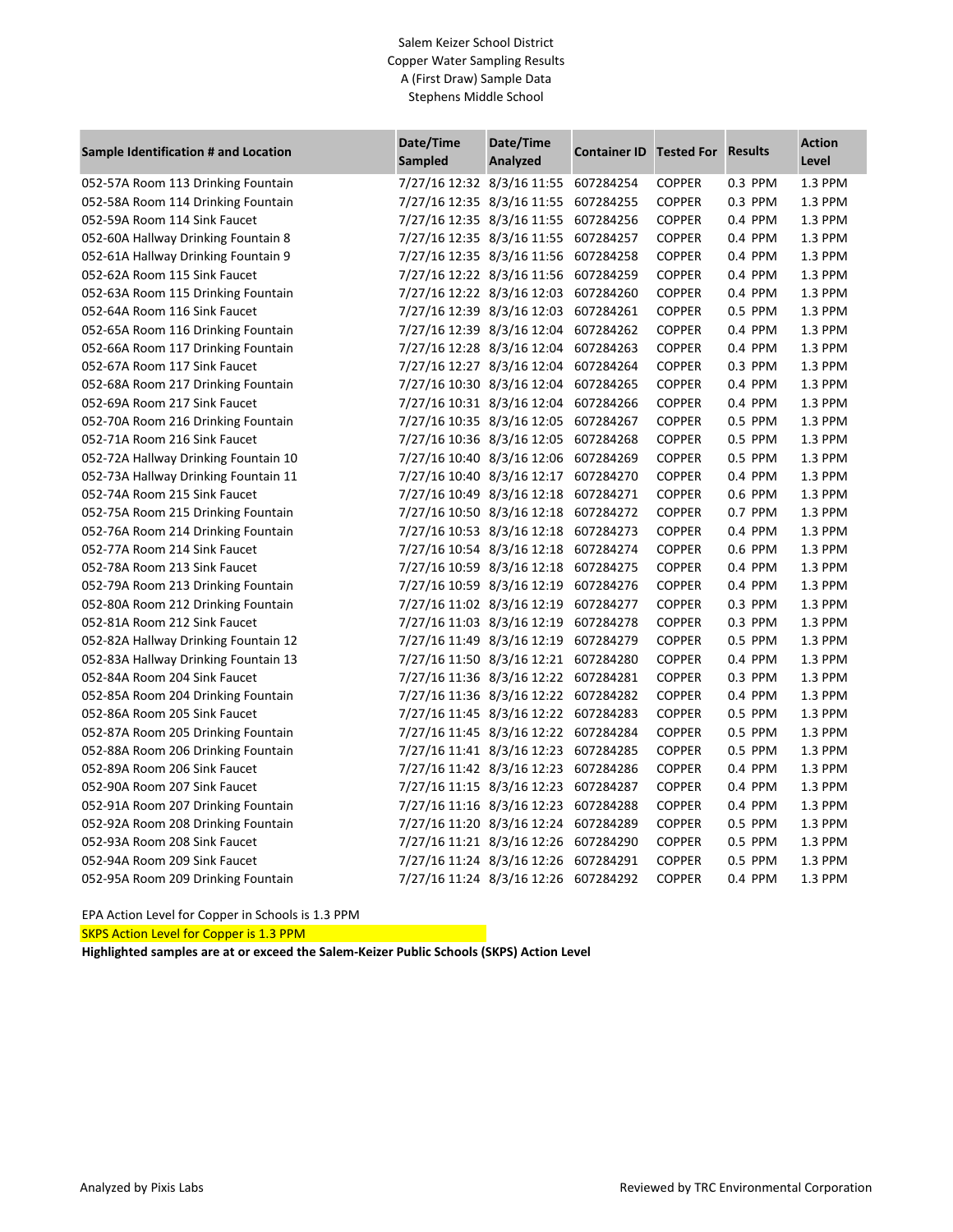## Salem Keizer School District Copper Water Sampling Results A (First Draw) Sample Data Stephens Middle School

| Sample Identification # and Location | Date/Time<br>Sampled                 | Date/Time<br>Analyzed | <b>Container ID</b> | <b>Tested For Results</b> |         | <b>Action</b><br>Level |
|--------------------------------------|--------------------------------------|-----------------------|---------------------|---------------------------|---------|------------------------|
| 052-57A Room 113 Drinking Fountain   | 7/27/16 12:32 8/3/16 11:55           |                       | 607284254           | <b>COPPER</b>             | 0.3 PPM | 1.3 PPM                |
| 052-58A Room 114 Drinking Fountain   | 7/27/16 12:35 8/3/16 11:55           |                       | 607284255           | <b>COPPER</b>             | 0.3 PPM | 1.3 PPM                |
| 052-59A Room 114 Sink Faucet         | 7/27/16 12:35 8/3/16 11:55           |                       | 607284256           | <b>COPPER</b>             | 0.4 PPM | 1.3 PPM                |
| 052-60A Hallway Drinking Fountain 8  | 7/27/16 12:35 8/3/16 11:55           |                       | 607284257           | <b>COPPER</b>             | 0.4 PPM | 1.3 PPM                |
| 052-61A Hallway Drinking Fountain 9  | 7/27/16 12:35 8/3/16 11:56           |                       | 607284258           | <b>COPPER</b>             | 0.4 PPM | 1.3 PPM                |
| 052-62A Room 115 Sink Faucet         | 7/27/16 12:22 8/3/16 11:56           |                       | 607284259           | <b>COPPER</b>             | 0.4 PPM | 1.3 PPM                |
| 052-63A Room 115 Drinking Fountain   | 7/27/16 12:22 8/3/16 12:03           |                       | 607284260           | <b>COPPER</b>             | 0.4 PPM | 1.3 PPM                |
| 052-64A Room 116 Sink Faucet         | 7/27/16 12:39 8/3/16 12:03           |                       | 607284261           | <b>COPPER</b>             | 0.5 PPM | 1.3 PPM                |
| 052-65A Room 116 Drinking Fountain   | 7/27/16 12:39 8/3/16 12:04           |                       | 607284262           | <b>COPPER</b>             | 0.4 PPM | 1.3 PPM                |
| 052-66A Room 117 Drinking Fountain   | 7/27/16 12:28 8/3/16 12:04           |                       | 607284263           | <b>COPPER</b>             | 0.4 PPM | 1.3 PPM                |
| 052-67A Room 117 Sink Faucet         | 7/27/16 12:27 8/3/16 12:04           |                       | 607284264           | <b>COPPER</b>             | 0.3 PPM | 1.3 PPM                |
| 052-68A Room 217 Drinking Fountain   | 7/27/16 10:30 8/3/16 12:04           |                       | 607284265           | <b>COPPER</b>             | 0.4 PPM | 1.3 PPM                |
| 052-69A Room 217 Sink Faucet         | 7/27/16 10:31 8/3/16 12:04 607284266 |                       |                     | <b>COPPER</b>             | 0.4 PPM | 1.3 PPM                |
| 052-70A Room 216 Drinking Fountain   | 7/27/16 10:35 8/3/16 12:05           |                       | 607284267           | <b>COPPER</b>             | 0.5 PPM | 1.3 PPM                |
| 052-71A Room 216 Sink Faucet         | 7/27/16 10:36 8/3/16 12:05           |                       | 607284268           | <b>COPPER</b>             | 0.5 PPM | 1.3 PPM                |
| 052-72A Hallway Drinking Fountain 10 | 7/27/16 10:40 8/3/16 12:06           |                       | 607284269           | <b>COPPER</b>             | 0.5 PPM | 1.3 PPM                |
| 052-73A Hallway Drinking Fountain 11 | 7/27/16 10:40 8/3/16 12:17           |                       | 607284270           | <b>COPPER</b>             | 0.4 PPM | 1.3 PPM                |
| 052-74A Room 215 Sink Faucet         | 7/27/16 10:49 8/3/16 12:18           |                       | 607284271           | <b>COPPER</b>             | 0.6 PPM | 1.3 PPM                |
| 052-75A Room 215 Drinking Fountain   | 7/27/16 10:50 8/3/16 12:18           |                       | 607284272           | <b>COPPER</b>             | 0.7 PPM | 1.3 PPM                |
| 052-76A Room 214 Drinking Fountain   | 7/27/16 10:53 8/3/16 12:18 607284273 |                       |                     | <b>COPPER</b>             | 0.4 PPM | 1.3 PPM                |
| 052-77A Room 214 Sink Faucet         | 7/27/16 10:54 8/3/16 12:18           |                       | 607284274           | <b>COPPER</b>             | 0.6 PPM | 1.3 PPM                |
| 052-78A Room 213 Sink Faucet         | 7/27/16 10:59 8/3/16 12:18           |                       | 607284275           | <b>COPPER</b>             | 0.4 PPM | 1.3 PPM                |
| 052-79A Room 213 Drinking Fountain   | 7/27/16 10:59 8/3/16 12:19           |                       | 607284276           | <b>COPPER</b>             | 0.4 PPM | 1.3 PPM                |
| 052-80A Room 212 Drinking Fountain   | 7/27/16 11:02 8/3/16 12:19           |                       | 607284277           | <b>COPPER</b>             | 0.3 PPM | 1.3 PPM                |
| 052-81A Room 212 Sink Faucet         | 7/27/16 11:03 8/3/16 12:19           |                       | 607284278           | <b>COPPER</b>             | 0.3 PPM | 1.3 PPM                |
| 052-82A Hallway Drinking Fountain 12 | 7/27/16 11:49 8/3/16 12:19           |                       | 607284279           | <b>COPPER</b>             | 0.5 PPM | 1.3 PPM                |
| 052-83A Hallway Drinking Fountain 13 | 7/27/16 11:50 8/3/16 12:21 607284280 |                       |                     | <b>COPPER</b>             | 0.4 PPM | 1.3 PPM                |
| 052-84A Room 204 Sink Faucet         | 7/27/16 11:36 8/3/16 12:22 607284281 |                       |                     | <b>COPPER</b>             | 0.3 PPM | 1.3 PPM                |
| 052-85A Room 204 Drinking Fountain   | 7/27/16 11:36 8/3/16 12:22 607284282 |                       |                     | <b>COPPER</b>             | 0.4 PPM | 1.3 PPM                |
| 052-86A Room 205 Sink Faucet         | 7/27/16 11:45 8/3/16 12:22 607284283 |                       |                     | <b>COPPER</b>             | 0.5 PPM | 1.3 PPM                |
| 052-87A Room 205 Drinking Fountain   | 7/27/16 11:45 8/3/16 12:22 607284284 |                       |                     | <b>COPPER</b>             | 0.5 PPM | 1.3 PPM                |
| 052-88A Room 206 Drinking Fountain   | 7/27/16 11:41 8/3/16 12:23           |                       | 607284285           | <b>COPPER</b>             | 0.5 PPM | 1.3 PPM                |
| 052-89A Room 206 Sink Faucet         | 7/27/16 11:42 8/3/16 12:23           |                       | 607284286           | <b>COPPER</b>             | 0.4 PPM | 1.3 PPM                |
| 052-90A Room 207 Sink Faucet         | 7/27/16 11:15 8/3/16 12:23 607284287 |                       |                     | <b>COPPER</b>             | 0.4 PPM | 1.3 PPM                |
| 052-91A Room 207 Drinking Fountain   | 7/27/16 11:16 8/3/16 12:23 607284288 |                       |                     | <b>COPPER</b>             | 0.4 PPM | 1.3 PPM                |
| 052-92A Room 208 Drinking Fountain   | 7/27/16 11:20 8/3/16 12:24 607284289 |                       |                     | <b>COPPER</b>             | 0.5 PPM | 1.3 PPM                |
| 052-93A Room 208 Sink Faucet         | 7/27/16 11:21 8/3/16 12:26 607284290 |                       |                     | <b>COPPER</b>             | 0.5 PPM | 1.3 PPM                |
| 052-94A Room 209 Sink Faucet         | 7/27/16 11:24 8/3/16 12:26 607284291 |                       |                     | <b>COPPER</b>             | 0.5 PPM | 1.3 PPM                |
| 052-95A Room 209 Drinking Fountain   | 7/27/16 11:24 8/3/16 12:26 607284292 |                       |                     | <b>COPPER</b>             | 0.4 PPM | 1.3 PPM                |

EPA Action Level for Copper in Schools is 1.3 PPM

SKPS Action Level for Copper is 1.3 PPM

**Highlighted samples are at or exceed the Salem-Keizer Public Schools (SKPS) Action Level**